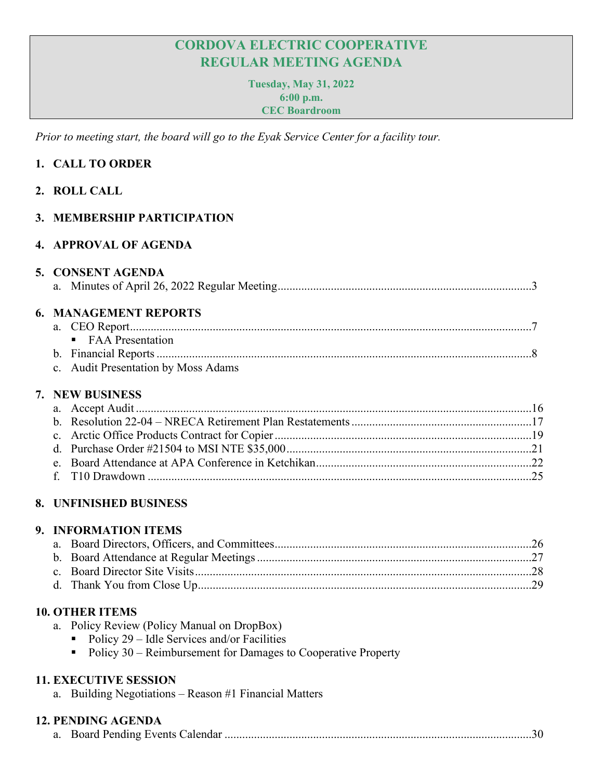# **CORDOVA ELECTRIC COOPERATIVE REGULAR MEETING AGENDA**

**Tuesday, May 31, 2022 6:00 p.m. CEC Boardroom**

*Prior to meeting start, the board will go to the Eyak Service Center for a facility tour.* 

# **1. CALL TO ORDER**

## **2. ROLL CALL**

## **3. MEMBERSHIP PARTICIPATION**

## **4. APPROVAL OF AGENDA**

# **5. CONSENT AGENDA**

|--|--|--|

## **6. MANAGEMENT REPORTS**

| • FAA Presentation                  |  |
|-------------------------------------|--|
|                                     |  |
| c. Audit Presentation by Moss Adams |  |

#### **7. NEW BUSINESS**

## **8. UNFINISHED BUSINESS**

#### **9. INFORMATION ITEMS**

## **10. OTHER ITEMS**

- a. Policy Review (Policy Manual on DropBox)
	- $\blacksquare$  Policy 29 Idle Services and/or Facilities
	- Policy  $30$  Reimbursement for Damages to Cooperative Property

## **11. EXECUTIVE SESSION**

a. Building Negotiations – Reason #1 Financial Matters

# **12. PENDING AGENDA**

|--|--|--|--|--|